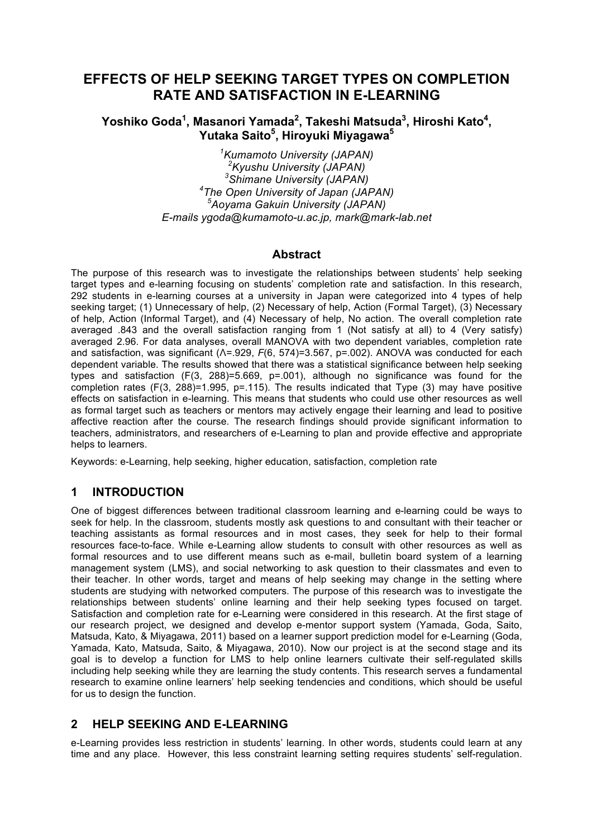# **EFFECTS OF HELP SEEKING TARGET TYPES ON COMPLETION RATE AND SATISFACTION IN E-LEARNING**

## **Yoshiko Goda<sup>1</sup> , Masanori Yamada<sup>2</sup> , Takeshi Matsuda<sup>3</sup> , Hiroshi Kato4 , Yutaka Saito5 , Hiroyuki Miyagawa<sup>5</sup>**

 *Kumamoto University (JAPAN) Kyushu University (JAPAN) Shimane University (JAPAN) The Open University of Japan (JAPAN) Aoyama Gakuin University (JAPAN) E-mails ygoda@kumamoto-u.ac.jp, mark@mark-lab.net*

#### **Abstract**

The purpose of this research was to investigate the relationships between students' help seeking target types and e-learning focusing on students' completion rate and satisfaction. In this research, 292 students in e-learning courses at a university in Japan were categorized into 4 types of help seeking target; (1) Unnecessary of help, (2) Necessary of help, Action (Formal Target), (3) Necessary of help, Action (Informal Target), and (4) Necessary of help, No action. The overall completion rate averaged .843 and the overall satisfaction ranging from 1 (Not satisfy at all) to 4 (Very satisfy) averaged 2.96. For data analyses, overall MANOVA with two dependent variables, completion rate and satisfaction, was significant (Λ=.929, *F*(6, 574)=3.567, p=.002). ANOVA was conducted for each dependent variable. The results showed that there was a statistical significance between help seeking types and satisfaction (F(3, 288)=5.669, p=.001), although no significance was found for the completion rates (F(3, 288)=1.995, p=.115). The results indicated that Type (3) may have positive effects on satisfaction in e-learning. This means that students who could use other resources as well as formal target such as teachers or mentors may actively engage their learning and lead to positive affective reaction after the course. The research findings should provide significant information to teachers, administrators, and researchers of e-Learning to plan and provide effective and appropriate helps to learners.

Keywords: e-Learning, help seeking, higher education, satisfaction, completion rate

## **1 INTRODUCTION**

One of biggest differences between traditional classroom learning and e-learning could be ways to seek for help. In the classroom, students mostly ask questions to and consultant with their teacher or teaching assistants as formal resources and in most cases, they seek for help to their formal resources face-to-face. While e-Learning allow students to consult with other resources as well as formal resources and to use different means such as e-mail, bulletin board system of a learning management system (LMS), and social networking to ask question to their classmates and even to their teacher. In other words, target and means of help seeking may change in the setting where students are studying with networked computers. The purpose of this research was to investigate the relationships between students' online learning and their help seeking types focused on target. Satisfaction and completion rate for e-Learning were considered in this research. At the first stage of our research project, we designed and develop e-mentor support system (Yamada, Goda, Saito, Matsuda, Kato, & Miyagawa, 2011) based on a learner support prediction model for e-Learning (Goda, Yamada, Kato, Matsuda, Saito, & Miyagawa, 2010). Now our project is at the second stage and its goal is to develop a function for LMS to help online learners cultivate their self-regulated skills including help seeking while they are learning the study contents. This research serves a fundamental research to examine online learners' help seeking tendencies and conditions, which should be useful for us to design the function.

### **2 HELP SEEKING AND E-LEARNING**

e-Learning provides less restriction in students' learning. In other words, students could learn at any time and any place. However, this less constraint learning setting requires students' self-regulation.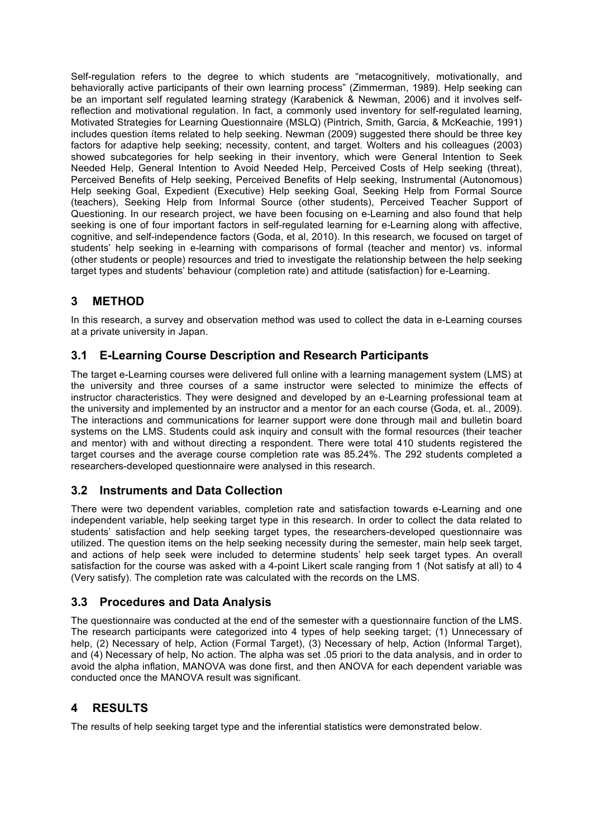Self-regulation refers to the degree to which students are "metacognitively, motivationally, and behaviorally active participants of their own learning process" (Zimmerman, 1989). Help seeking can be an important self regulated learning strategy (Karabenick & Newman, 2006) and it involves selfreflection and motivational regulation. In fact, a commonly used inventory for self-regulated learning, Motivated Strategies for Learning Questionnaire (MSLQ) (Pintrich, Smith, Garcia, & McKeachie, 1991) includes question ítems related to help seeking. Newman (2009) suggested there should be three key factors for adaptive help seeking; necessity, content, and target. Wolters and his colleagues (2003) showed subcategories for help seeking in their inventory, which were General Intention to Seek Needed Help, General Intention to Avoid Needed Help, Perceived Costs of Help seeking (threat), Perceived Benefits of Help seeking, Perceived Benefits of Help seeking, Instrumental (Autonomous) Help seeking Goal, Expedient (Executive) Help seeking Goal, Seeking Help from Formal Source (teachers), Seeking Help from Informal Source (other students), Perceived Teacher Support of Questioning. In our research project, we have been focusing on e-Learning and also found that help seeking is one of four important factors in self-regulated learning for e-Learning along with affective, cognitive, and self-independence factors (Goda, et al, 2010). In this research, we focused on target of students' help seeking in e-learning with comparisons of formal (teacher and mentor) vs. informal (other students or people) resources and tried to investigate the relationship between the help seeking target types and students' behaviour (completion rate) and attitude (satisfaction) for e-Learning.

# **3 METHOD**

In this research, a survey and observation method was used to collect the data in e-Learning courses at a private university in Japan.

## **3.1 E-Learning Course Description and Research Participants**

The target e-Learning courses were delivered full online with a learning management system (LMS) at the university and three courses of a same instructor were selected to minimize the effects of instructor characteristics. They were designed and developed by an e-Learning professional team at the university and implemented by an instructor and a mentor for an each course (Goda, et. al., 2009). The interactions and communications for learner support were done through mail and bulletin board systems on the LMS. Students could ask inquiry and consult with the formal resources (their teacher and mentor) with and without directing a respondent. There were total 410 students registered the target courses and the average course completion rate was 85.24%. The 292 students completed a researchers-developed questionnaire were analysed in this research.

### **3.2 Instruments and Data Collection**

There were two dependent variables, completion rate and satisfaction towards e-Learning and one independent variable, help seeking target type in this research. In order to collect the data related to students' satisfaction and help seeking target types, the researchers-developed questionnaire was utilized. The question items on the help seeking necessity during the semester, main help seek target, and actions of help seek were included to determine students' help seek target types. An overall satisfaction for the course was asked with a 4-point Likert scale ranging from 1 (Not satisfy at all) to 4 (Very satisfy). The completion rate was calculated with the records on the LMS.

### **3.3 Procedures and Data Analysis**

The questionnaire was conducted at the end of the semester with a questionnaire function of the LMS. The research participants were categorized into 4 types of help seeking target; (1) Unnecessary of help, (2) Necessary of help, Action (Formal Target), (3) Necessary of help, Action (Informal Target), and (4) Necessary of help, No action. The alpha was set .05 priori to the data analysis, and in order to avoid the alpha inflation, MANOVA was done first, and then ANOVA for each dependent variable was conducted once the MANOVA result was significant.

## **4 RESULTS**

The results of help seeking target type and the inferential statistics were demonstrated below.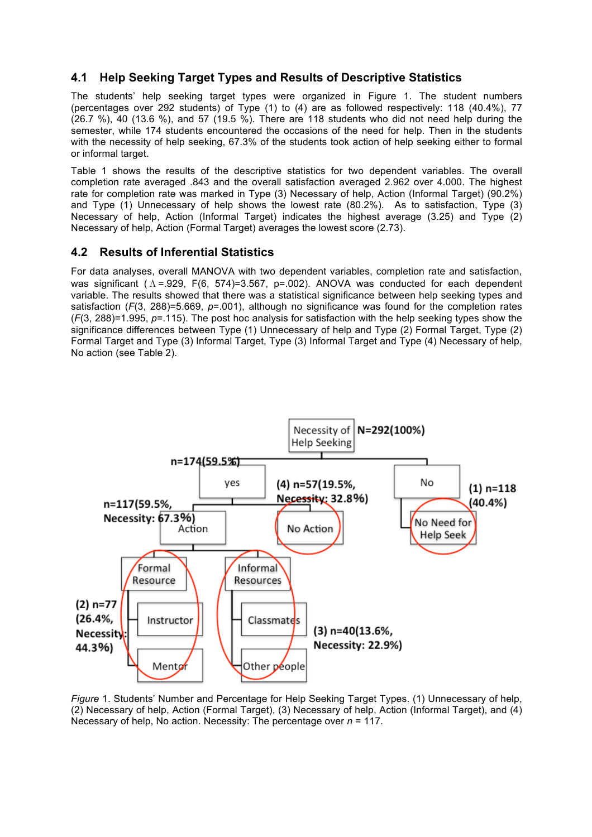## **4.1 Help Seeking Target Types and Results of Descriptive Statistics**

The students' help seeking target types were organized in Figure 1. The student numbers (percentages over 292 students) of Type (1) to (4) are as followed respectively: 118 (40.4%), 77  $(26.7 \%)$ , 40  $(13.6 \%)$ , and 57  $(19.5 \%)$ . There are 118 students who did not need help during the semester, while 174 students encountered the occasions of the need for help. Then in the students with the necessity of help seeking, 67.3% of the students took action of help seeking either to formal or informal target.

Table 1 shows the results of the descriptive statistics for two dependent variables. The overall completion rate averaged .843 and the overall satisfaction averaged 2.962 over 4.000. The highest rate for completion rate was marked in Type (3) Necessary of help, Action (Informal Target) (90.2%) and Type (1) Unnecessary of help shows the lowest rate (80.2%). As to satisfaction, Type (3) Necessary of help, Action (Informal Target) indicates the highest average (3.25) and Type (2) Necessary of help, Action (Formal Target) averages the lowest score (2.73).

#### **4.2 Results of Inferential Statistics**

For data analyses, overall MANOVA with two dependent variables, completion rate and satisfaction, was significant (Λ=.929, F(6, 574)=3.567, p=.002). ANOVA was conducted for each dependent variable. The results showed that there was a statistical significance between help seeking types and satisfaction (*F*(3, 288)=5.669, *p*=.001), although no significance was found for the completion rates (*F*(3, 288)=1.995, *p*=.115). The post hoc analysis for satisfaction with the help seeking types show the significance differences between Type (1) Unnecessary of help and Type (2) Formal Target, Type (2) Formal Target and Type (3) Informal Target, Type (3) Informal Target and Type (4) Necessary of help, No action (see Table 2).



*Figure* 1. Students' Number and Percentage for Help Seeking Target Types. (1) Unnecessary of help, (2) Necessary of help, Action (Formal Target), (3) Necessary of help, Action (Informal Target), and (4) Necessary of help, No action. Necessity: The percentage over *n* = 117.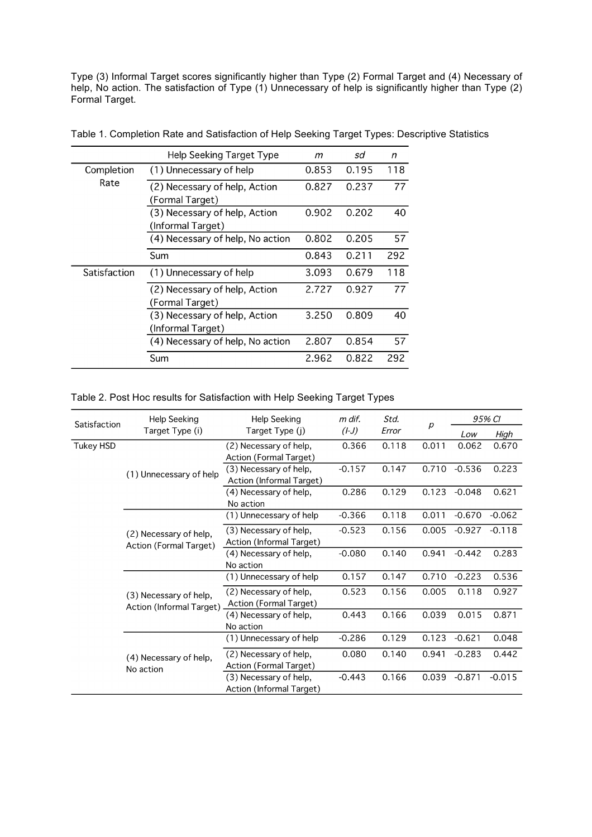Type (3) Informal Target scores significantly higher than Type (2) Formal Target and (4) Necessary of help, No action. The satisfaction of Type (1) Unnecessary of help is significantly higher than Type (2) Formal Target.

|              | <b>Help Seeking Target Type</b>                    | т     | sd    | n   |
|--------------|----------------------------------------------------|-------|-------|-----|
| Completion   | (1) Unnecessary of help                            | 0.853 | 0.195 | 118 |
| Rate         | (2) Necessary of help, Action<br>(Formal Target)   | 0.827 | 0.237 | 77  |
|              | (3) Necessary of help, Action<br>(Informal Target) | 0.902 | 0.202 | 40  |
|              | (4) Necessary of help, No action                   | 0.802 | 0.205 | 57  |
|              | Sum                                                | 0.843 | 0.211 | 292 |
| Satisfaction | (1) Unnecessary of help                            | 3.093 | 0.679 | 118 |
|              | (2) Necessary of help, Action<br>(Formal Target)   | 2.727 | 0.927 | 77  |
|              | (3) Necessary of help, Action<br>(Informal Target) | 3.250 | 0.809 | 40  |
|              | (4) Necessary of help, No action                   | 2.807 | 0.854 | 57  |
|              | Sum                                                | 2.962 | 0.822 | 292 |

Table 1. Completion Rate and Satisfaction of Help Seeking Target Types: Descriptive Statistics

Table 2. Post Hoc results for Satisfaction with Help Seeking Target Types

| Satisfaction     | Help Seeking                                       | <b>Help Seeking</b>      | m dif.   | Std.<br>Error | р     | 95% CI   |          |
|------------------|----------------------------------------------------|--------------------------|----------|---------------|-------|----------|----------|
|                  | Target Type (i)                                    | Target Type (j)          | $(L-J)$  |               |       | Low      | High     |
| <b>Tukey HSD</b> |                                                    | (2) Necessary of help,   | 0.366    | 0.118         | 0.011 | 0.062    | 0.670    |
|                  | (1) Unnecessary of help                            | Action (Formal Target)   |          |               |       |          |          |
|                  |                                                    | (3) Necessary of help,   | $-0.157$ | 0.147         | 0.710 | $-0.536$ | 0.223    |
|                  |                                                    | Action (Informal Target) |          |               |       |          |          |
|                  |                                                    | (4) Necessary of help,   | 0.286    | 0.129         | 0.123 | $-0.048$ | 0.621    |
|                  |                                                    | No action                |          |               |       |          |          |
|                  |                                                    | (1) Unnecessary of help  | $-0.366$ | 0.118         | 0.011 | $-0.670$ | $-0.062$ |
|                  | (2) Necessary of help,                             | (3) Necessary of help,   | $-0.523$ | 0.156         | 0.005 | $-0.927$ | $-0.118$ |
|                  | Action (Formal Target)                             | Action (Informal Target) |          |               |       |          |          |
|                  |                                                    | (4) Necessary of help,   | $-0.080$ | 0.140         | 0.941 | $-0.442$ | 0.283    |
|                  |                                                    | No action                |          |               |       |          |          |
|                  | (3) Necessary of help,<br>Action (Informal Target) | (1) Unnecessary of help  | 0.157    | 0.147         | 0.710 | $-0.223$ | 0.536    |
|                  |                                                    | (2) Necessary of help,   | 0.523    | 0.156         | 0.005 | 0.118    | 0.927    |
|                  |                                                    | Action (Formal Target)   |          |               |       |          |          |
|                  |                                                    | (4) Necessary of help,   | 0.443    | 0.166         | 0.039 | 0.015    | 0.871    |
|                  |                                                    | No action                |          |               |       |          |          |
|                  | (4) Necessary of help,                             | (1) Unnecessary of help  | $-0.286$ | 0.129         | 0.123 | $-0.621$ | 0.048    |
|                  |                                                    | (2) Necessary of help,   | 0.080    | 0.140         | 0.941 | $-0.283$ | 0.442    |
|                  | No action                                          | Action (Formal Target)   |          |               |       |          |          |
|                  |                                                    | (3) Necessary of help,   | $-0.443$ | 0.166         | 0.039 | $-0.871$ | $-0.015$ |
|                  |                                                    | Action (Informal Target) |          |               |       |          |          |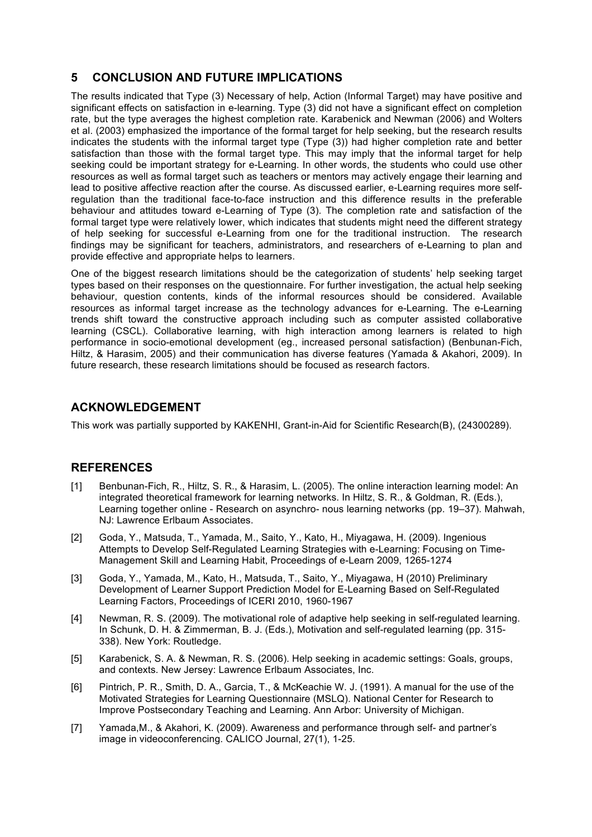### **5 CONCLUSION AND FUTURE IMPLICATIONS**

The results indicated that Type (3) Necessary of help, Action (Informal Target) may have positive and significant effects on satisfaction in e-learning. Type (3) did not have a significant effect on completion rate, but the type averages the highest completion rate. Karabenick and Newman (2006) and Wolters et al. (2003) emphasized the importance of the formal target for help seeking, but the research results indicates the students with the informal target type (Type (3)) had higher completion rate and better satisfaction than those with the formal target type. This may imply that the informal target for help seeking could be important strategy for e-Learning. In other words, the students who could use other resources as well as formal target such as teachers or mentors may actively engage their learning and lead to positive affective reaction after the course. As discussed earlier, e-Learning requires more selfregulation than the traditional face-to-face instruction and this difference results in the preferable behaviour and attitudes toward e-Learning of Type (3). The completion rate and satisfaction of the formal target type were relatively lower, which indicates that students might need the different strategy of help seeking for successful e-Learning from one for the traditional instruction. The research findings may be significant for teachers, administrators, and researchers of e-Learning to plan and provide effective and appropriate helps to learners.

One of the biggest research limitations should be the categorization of students' help seeking target types based on their responses on the questionnaire. For further investigation, the actual help seeking behaviour, question contents, kinds of the informal resources should be considered. Available resources as informal target increase as the technology advances for e-Learning. The e-Learning trends shift toward the constructive approach including such as computer assisted collaborative learning (CSCL). Collaborative learning, with high interaction among learners is related to high performance in socio-emotional development (eg., increased personal satisfaction) (Benbunan-Fich, Hiltz, & Harasim, 2005) and their communication has diverse features (Yamada & Akahori, 2009). In future research, these research limitations should be focused as research factors.

#### **ACKNOWLEDGEMENT**

This work was partially supported by KAKENHI, Grant-in-Aid for Scientific Research(B), (24300289).

#### **REFERENCES**

- [1] Benbunan-Fich, R., Hiltz, S. R., & Harasim, L. (2005). The online interaction learning model: An integrated theoretical framework for learning networks. In Hiltz, S. R., & Goldman, R. (Eds.), Learning together online - Research on asynchro- nous learning networks (pp. 19–37). Mahwah, NJ: Lawrence Erlbaum Associates.
- [2] Goda, Y., Matsuda, T., Yamada, M., Saito, Y., Kato, H., Miyagawa, H. (2009). Ingenious Attempts to Develop Self-Regulated Learning Strategies with e-Learning: Focusing on Time-Management Skill and Learning Habit, Proceedings of e-Learn 2009, 1265-1274
- [3] Goda, Y., Yamada, M., Kato, H., Matsuda, T., Saito, Y., Miyagawa, H (2010) Preliminary Development of Learner Support Prediction Model for E-Learning Based on Self-Regulated Learning Factors, Proceedings of ICERI 2010, 1960-1967
- [4] Newman, R. S. (2009). The motivational role of adaptive help seeking in self-regulated learning. In Schunk, D. H. & Zimmerman, B. J. (Eds.), Motivation and self-regulated learning (pp. 315- 338). New York: Routledge.
- [5] Karabenick, S. A. & Newman, R. S. (2006). Help seeking in academic settings: Goals, groups, and contexts. New Jersey: Lawrence Erlbaum Associates, Inc.
- [6] Pintrich, P. R., Smith, D. A., Garcia, T., & McKeachie W. J. (1991). A manual for the use of the Motivated Strategies for Learning Questionnaire (MSLQ). National Center for Research to Improve Postsecondary Teaching and Learning. Ann Arbor: University of Michigan.
- [7] Yamada,M., & Akahori, K. (2009). Awareness and performance through self- and partner's image in videoconferencing. CALICO Journal, 27(1), 1-25.